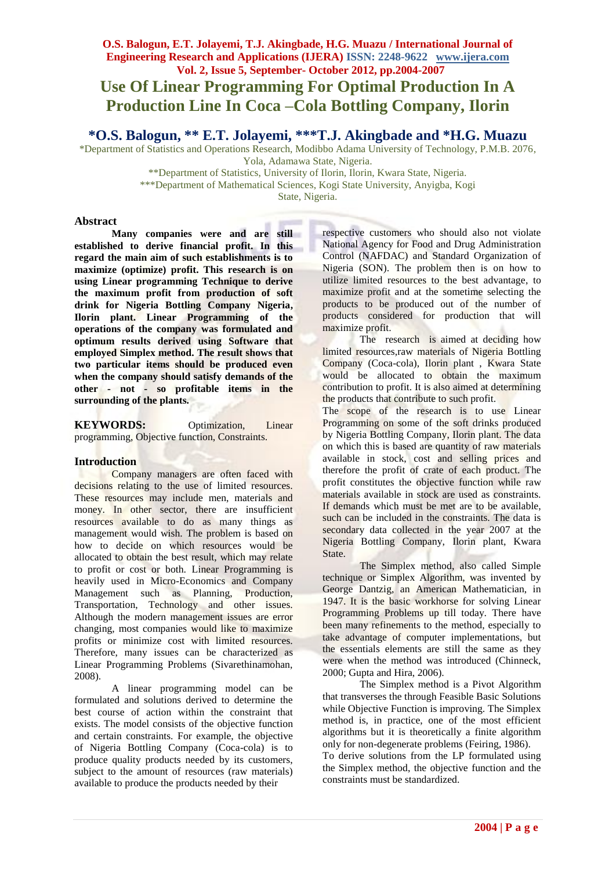### **O.S. Balogun, E.T. Jolayemi, T.J. Akingbade, H.G. Muazu / International Journal of Engineering Research and Applications (IJERA) ISSN: 2248-9622 www.ijera.com Vol. 2, Issue 5, September- October 2012, pp.2004-2007**

## **Use Of Linear Programming For Optimal Production In A Production Line In Coca –Cola Bottling Company, Ilorin**

**\*O.S. Balogun, \*\* E.T. Jolayemi, \*\*\*T.J. Akingbade and \*H.G. Muazu**

\*Department of Statistics and Operations Research, Modibbo Adama University of Technology, P.M.B. 2076, Yola, Adamawa State, Nigeria.

\*\*Department of Statistics, University of Ilorin, Ilorin, Kwara State, Nigeria.

\*\*\*Department of Mathematical Sciences, Kogi State University, Anyigba, Kogi

State, Nigeria.

### **Abstract**

**Many companies were and are still established to derive financial profit. In this regard the main aim of such establishments is to maximize (optimize) profit. This research is on using Linear programming Technique to derive the maximum profit from production of soft drink for Nigeria Bottling Company Nigeria, Ilorin plant. Linear Programming of the operations of the company was formulated and optimum results derived using Software that employed Simplex method. The result shows that two particular items should be produced even when the company should satisfy demands of the other - not - so profitable items in the surrounding of the plants.**

**KEYWORDS:** Optimization, Linear programming, Objective function, Constraints.

### **Introduction**

Company managers are often faced with decisions relating to the use of limited resources. These resources may include men, materials and money. In other sector, there are insufficient resources available to do as many things as management would wish. The problem is based on how to decide on which resources would be allocated to obtain the best result, which may relate to profit or cost or both. Linear Programming is heavily used in Micro-Economics and Company Management such as Planning, Production, Transportation, Technology and other issues. Although the modern management issues are error changing, most companies would like to maximize profits or minimize cost with limited resources. Therefore, many issues can be characterized as Linear Programming Problems (Sivarethinamohan, 2008).

A linear programming model can be formulated and solutions derived to determine the best course of action within the constraint that exists. The model consists of the objective function and certain constraints. For example, the objective of Nigeria Bottling Company (Coca-cola) is to produce quality products needed by its customers, subject to the amount of resources (raw materials) available to produce the products needed by their

respective customers who should also not violate National Agency for Food and Drug Administration Control (NAFDAC) and Standard Organization of Nigeria (SON). The problem then is on how to utilize limited resources to the best advantage, to maximize profit and at the sometime selecting the products to be produced out of the number of products considered for production that will maximize profit.

The research is aimed at deciding how limited resources,raw materials of Nigeria Bottling Company (Coca-cola), Ilorin plant , Kwara State would be allocated to obtain the maximum contribution to profit. It is also aimed at determining the products that contribute to such profit.

The scope of the research is to use Linear Programming on some of the soft drinks produced by Nigeria Bottling Company, Ilorin plant. The data on which this is based are quantity of raw materials available in stock, cost and selling prices and therefore the profit of crate of each product. The profit constitutes the objective function while raw materials available in stock are used as constraints. If demands which must be met are to be available, such can be included in the constraints. The data is secondary data collected in the year 2007 at the Nigeria Bottling Company, Ilorin plant, Kwara State.

The Simplex method, also called Simple technique or Simplex Algorithm, was invented by George Dantzig, an American Mathematician, in 1947. It is the basic workhorse for solving Linear Programming Problems up till today. There have been many refinements to the method, especially to take advantage of computer implementations, but the essentials elements are still the same as they were when the method was introduced (Chinneck, 2000; Gupta and Hira, 2006).

The Simplex method is a Pivot Algorithm that transverses the through Feasible Basic Solutions while Objective Function is improving. The Simplex method is, in practice, one of the most efficient algorithms but it is theoretically a finite algorithm only for non-degenerate problems (Feiring, 1986).

To derive solutions from the LP formulated using the Simplex method, the objective function and the constraints must be standardized.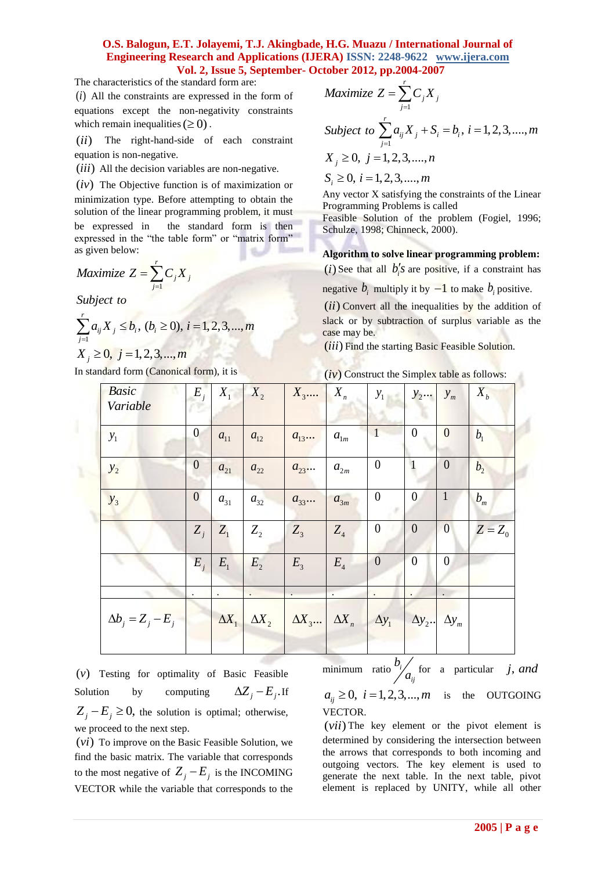### **O.S. Balogun, E.T. Jolayemi, T.J. Akingbade, H.G. Muazu / International Journal of Engineering Research and Applications (IJERA) ISSN: 2248-9622 www.ijera.com Vol. 2, Issue 5, September- October 2012, pp.2004-2007**

The characteristics of the standard form are:

 $(i)$  All the constraints are expressed in the form of equations except the non-negativity constraints which remain inequalities  $(\geq 0)$ .

 $(ii)$ The right-hand-side of each constraint equation is non-negative.

 $(iii)$  All the decision variables are non-negative.

(iv) The Objective function is of maximization or

minimization type. Before attempting to obtain the solution of the linear programming problem, it must

be expressed in the standard form is then expressed in the "the table form" or "matrix form" as given below:

$$
Maximize Z = \sum_{j=1}^{r} C_j X_j
$$

*Subject to*

$$
\sum_{j=1}^{r} a_{ij} X_{j} \leq b_{i}, (b_{i} \geq 0), i = 1, 2, 3, ..., m
$$
  

$$
X_{j} \geq 0, j = 1, 2, 3, ..., m
$$

In standard form (Canonical form), it is

$$
Maximize Z = \sum_{j=1}^{r} C_j X_j
$$
  
\n
$$
Subject to \sum_{j=1}^{r} a_{ij} X_j + S_i = b_i, i = 1, 2, 3, ..., m
$$
  
\n
$$
X_j \ge 0, j = 1, 2, 3, ..., n
$$
  
\n
$$
S_i \ge 0, i = 1, 2, 3, ..., m
$$

Any vector X satisfying the constraints of the Linear Programming Problems is called

Feasible Solution of the problem (Fogiel, 1996; Schulze, 1998; Chinneck, 2000).

**Algorithm to solve linear programming problem:**

(*i*) See that all  $b_i$ 's are positive, if a constraint has

negative  $b_i$  multiply it by  $-1$  to make  $b_i$  positive.

 $(ii)$  Convert all the inequalities by the addition of slack or by subtraction of surplus variable as the case may be.

(iii) Find the starting Basic Feasible Solution.

 $(iv)$  Construct the Simplex table as follows:

| <b>Basic</b><br>Variable | $E_i$            |           | $X_1 \mid X_2$ | $X_3$                                               | $X_{n}$   | $y_1$                                    | $y_2$            | $y_m$            | $X_{b}$        |
|--------------------------|------------------|-----------|----------------|-----------------------------------------------------|-----------|------------------------------------------|------------------|------------------|----------------|
| $y_1$                    | $\boldsymbol{0}$ | $a_{11}$  | $a_{12}$       | $a_{13}$                                            | $a_{1m}$  | $\vert$ 1                                | $\theta$         | $\boldsymbol{0}$ | b <sub>1</sub> |
| $y_2$                    | $\boldsymbol{0}$ | $a_{21}$  | $a_{22}$       | $a_{23}$                                            | $a_{2m}$  | $\boldsymbol{0}$                         | $\mathbf{1}$     | $\theta$         | b <sub>2</sub> |
| $y_3$                    | $\boldsymbol{0}$ | $a_{31}$  | $a_{32}$       | $a_{33}$                                            | $a_{3m}$  | $\boldsymbol{0}$                         | $\overline{0}$   | $\mathbf{1}$     | $b_m$          |
|                          | $Z_i$            | $Z_{1}$   | $Z_{2}$        | $Z_3$                                               | $Z_4$     | $\boldsymbol{0}$                         | $\boldsymbol{0}$ | $\mathbf{0}$     | $Z = Z_0$      |
|                          | $E_i$            | $E_{1}$   | $E_{2}$        | $E_{3}$                                             | $E_4$     | $\boldsymbol{0}$                         | $\overline{0}$   | $\overline{0}$   |                |
|                          | $\bullet$        | $\bullet$ |                |                                                     | $\bullet$ | $\bullet$                                | $\bullet$        |                  |                |
| $\Delta b_i = Z_j - E_j$ |                  |           |                | $\Delta X_1$ $\Delta X_2$ $\Delta X_3$ $\Delta X_n$ |           | $\Delta y_1$ $\Delta y_2$ . $\Delta y_m$ |                  |                  |                |
|                          |                  |           |                |                                                     |           |                                          |                  |                  |                |

() *v* Testing for optimality of Basic Feasible Solution by computing  $\Delta Z_j - E_j$ . If  $Z_j - E_j \ge 0$ , the solution is optimal; otherwise, we proceed to the next step.

 $(vi)$  To improve on the Basic Feasible Solution, we find the basic matrix. The variable that corresponds to the most negative of  $Z_j - E_j$  is the INCOMING VECTOR while the variable that corresponds to the

minimum ratio<sup> $U_i$ </sup> *ij b*  $\begin{pmatrix} a_n \\ a_n \end{pmatrix}$  for a particular *j, and*  $a_{ij} \ge 0$ ,  $i = 1,2,3,...,m$  is the OUTGOING VECTOR.

 $(vii)$  The key element or the pivot element is determined by considering the intersection between the arrows that corresponds to both incoming and outgoing vectors. The key element is used to generate the next table. In the next table, pivot element is replaced by UNITY, while all other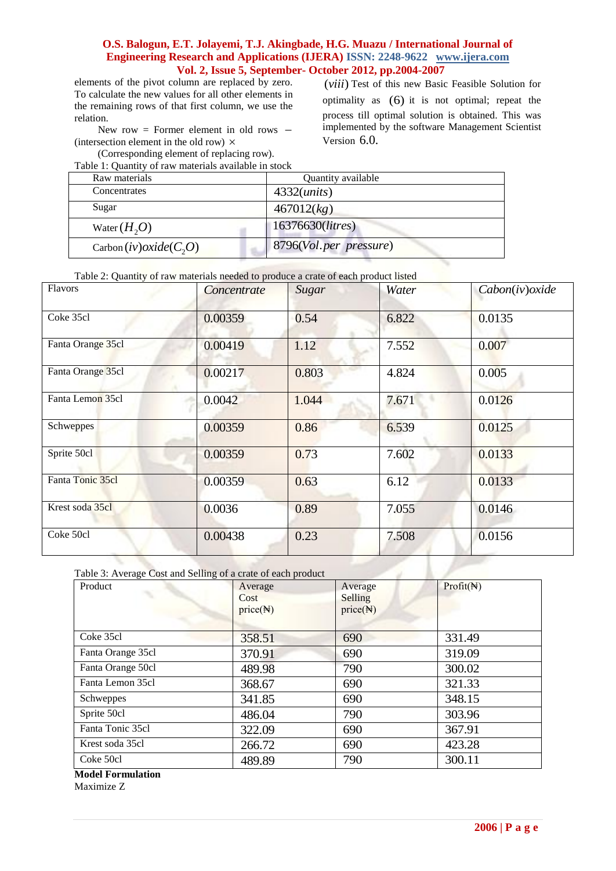### **O.S. Balogun, E.T. Jolayemi, T.J. Akingbade, H.G. Muazu / International Journal of Engineering Research and Applications (IJERA) ISSN: 2248-9622 www.ijera.com Vol. 2, Issue 5, September- October 2012, pp.2004-2007**

elements of the pivot column are replaced by zero. To calculate the new values for all other elements in the remaining rows of that first column, we use the relation.

New row = Former element in old rows  $-$ (intersection element in the old row)  $\times$ 

 (Corresponding element of replacing row). Table 1: Quantity of raw materials available in stock

(viii) Test of this new Basic Feasible Solution for optimality as (6) it is not optimal; repeat the process till optimal solution is obtained. This was implemented by the software Management Scientist Version 6.0.

ч

| Table 1. Ouantity of faw materials available in stock |                           |  |  |  |
|-------------------------------------------------------|---------------------------|--|--|--|
| Raw materials                                         | Quantity available        |  |  |  |
| Concentrates                                          | $4332$ ( <i>units</i> )   |  |  |  |
| Sugar                                                 | 467012(kg)                |  |  |  |
| Water $(H, O)$                                        | 16376630( <i>litres</i> ) |  |  |  |
| Carbon $(iv) oxide(C, O)$                             | 8796(Vol.per pressure)    |  |  |  |

### Table 2: Quantity of raw materials needed to produce a crate of each product listed

| Flavors           | Concentrate | Sugar | Water | Cabon(iv)oxide |
|-------------------|-------------|-------|-------|----------------|
| Coke 35cl         | 0.00359     | 0.54  | 6.822 | 0.0135         |
| Fanta Orange 35cl | 0.00419     | 1.12  | 7.552 | 0.007          |
| Fanta Orange 35cl | 0.00217     | 0.803 | 4.824 | 0.005          |
| Fanta Lemon 35cl  | 0.0042      | 1.044 | 7.671 | 0.0126         |
| Schweppes         | 0.00359     | 0.86  | 6.539 | 0.0125         |
| Sprite 50cl       | 0.00359     | 0.73  | 7.602 | 0.0133         |
| Fanta Tonic 35cl  | 0.00359     | 0.63  | 6.12  | 0.0133         |
| Krest soda 35cl   | 0.0036      | 0.89  | 7.055 | 0.0146         |
| Coke 50cl         | 0.00438     | 0.23  | 7.508 | 0.0156         |

Table 3: Average Cost and Selling of a crate of each product

| Product           | Average<br>Cost<br>price( <b>A</b> ) | Average<br>Selling<br>price( <b>A</b> ) | Profit( <b>A</b> ) |
|-------------------|--------------------------------------|-----------------------------------------|--------------------|
| Coke 35cl         | 358.51                               | 690                                     | 331.49             |
| Fanta Orange 35cl | 370.91                               | 690                                     | 319.09             |
| Fanta Orange 50cl | 489.98                               | 790                                     | 300.02             |
| Fanta Lemon 35cl  | 368.67                               | 690                                     | 321.33             |
| Schweppes         | 341.85                               | 690                                     | 348.15             |
| Sprite 50cl       | 486.04                               | 790                                     | 303.96             |
| Fanta Tonic 35cl  | 322.09                               | 690                                     | 367.91             |
| Krest soda 35cl   | 266.72                               | 690                                     | 423.28             |
| Coke 50cl         | 489.89                               | 790                                     | 300.11             |

**Model Formulation**

Maximize Z